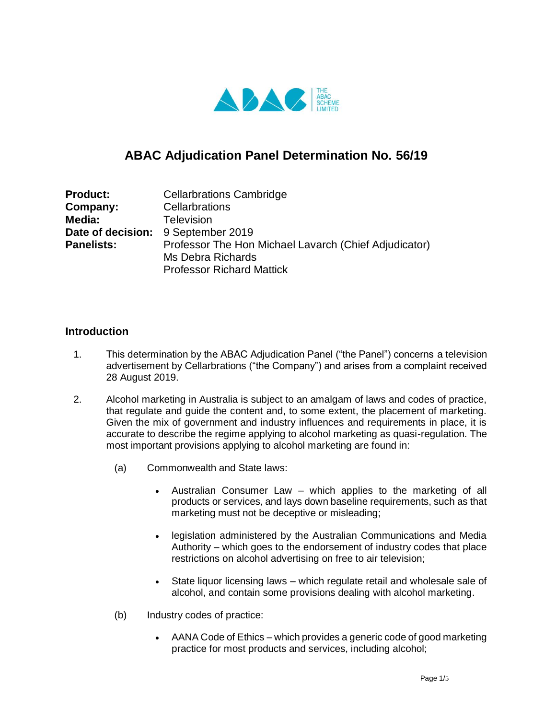

# **ABAC Adjudication Panel Determination No. 56/19**

| <b>Product:</b>   | <b>Cellarbrations Cambridge</b>                       |
|-------------------|-------------------------------------------------------|
| Company:          | Cellarbrations                                        |
| Media:            | <b>Television</b>                                     |
|                   | Date of decision: 9 September 2019                    |
| <b>Panelists:</b> | Professor The Hon Michael Lavarch (Chief Adjudicator) |
|                   | Ms Debra Richards                                     |
|                   | <b>Professor Richard Mattick</b>                      |

## **Introduction**

- 1. This determination by the ABAC Adjudication Panel ("the Panel") concerns a television advertisement by Cellarbrations ("the Company") and arises from a complaint received 28 August 2019.
- 2. Alcohol marketing in Australia is subject to an amalgam of laws and codes of practice, that regulate and guide the content and, to some extent, the placement of marketing. Given the mix of government and industry influences and requirements in place, it is accurate to describe the regime applying to alcohol marketing as quasi-regulation. The most important provisions applying to alcohol marketing are found in:
	- (a) Commonwealth and State laws:
		- Australian Consumer Law which applies to the marketing of all products or services, and lays down baseline requirements, such as that marketing must not be deceptive or misleading;
		- legislation administered by the Australian Communications and Media Authority – which goes to the endorsement of industry codes that place restrictions on alcohol advertising on free to air television;
		- State liquor licensing laws which regulate retail and wholesale sale of alcohol, and contain some provisions dealing with alcohol marketing.
	- (b) Industry codes of practice:
		- AANA Code of Ethics which provides a generic code of good marketing practice for most products and services, including alcohol;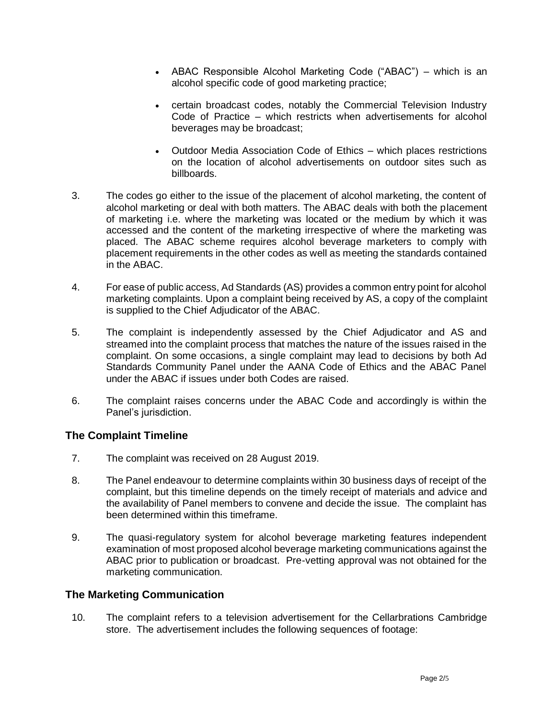- ABAC Responsible Alcohol Marketing Code ("ABAC") which is an alcohol specific code of good marketing practice;
- certain broadcast codes, notably the Commercial Television Industry Code of Practice – which restricts when advertisements for alcohol beverages may be broadcast;
- Outdoor Media Association Code of Ethics which places restrictions on the location of alcohol advertisements on outdoor sites such as billboards.
- 3. The codes go either to the issue of the placement of alcohol marketing, the content of alcohol marketing or deal with both matters. The ABAC deals with both the placement of marketing i.e. where the marketing was located or the medium by which it was accessed and the content of the marketing irrespective of where the marketing was placed. The ABAC scheme requires alcohol beverage marketers to comply with placement requirements in the other codes as well as meeting the standards contained in the ABAC.
- 4. For ease of public access, Ad Standards (AS) provides a common entry point for alcohol marketing complaints. Upon a complaint being received by AS, a copy of the complaint is supplied to the Chief Adjudicator of the ABAC.
- 5. The complaint is independently assessed by the Chief Adjudicator and AS and streamed into the complaint process that matches the nature of the issues raised in the complaint. On some occasions, a single complaint may lead to decisions by both Ad Standards Community Panel under the AANA Code of Ethics and the ABAC Panel under the ABAC if issues under both Codes are raised.
- 6. The complaint raises concerns under the ABAC Code and accordingly is within the Panel's jurisdiction.

## **The Complaint Timeline**

- 7. The complaint was received on 28 August 2019.
- 8. The Panel endeavour to determine complaints within 30 business days of receipt of the complaint, but this timeline depends on the timely receipt of materials and advice and the availability of Panel members to convene and decide the issue. The complaint has been determined within this timeframe.
- 9. The quasi-regulatory system for alcohol beverage marketing features independent examination of most proposed alcohol beverage marketing communications against the ABAC prior to publication or broadcast. Pre-vetting approval was not obtained for the marketing communication.

## **The Marketing Communication**

10. The complaint refers to a television advertisement for the Cellarbrations Cambridge store. The advertisement includes the following sequences of footage: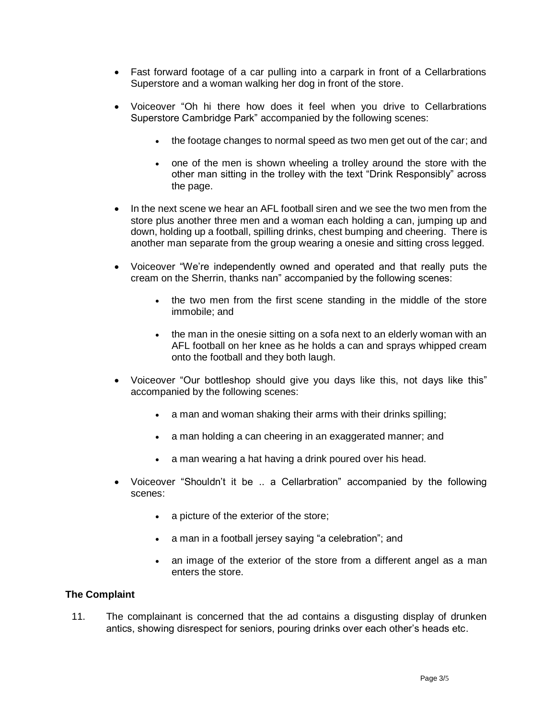- Fast forward footage of a car pulling into a carpark in front of a Cellarbrations Superstore and a woman walking her dog in front of the store.
- Voiceover "Oh hi there how does it feel when you drive to Cellarbrations Superstore Cambridge Park" accompanied by the following scenes:
	- the footage changes to normal speed as two men get out of the car; and
	- one of the men is shown wheeling a trolley around the store with the other man sitting in the trolley with the text "Drink Responsibly" across the page.
- In the next scene we hear an AFL football siren and we see the two men from the store plus another three men and a woman each holding a can, jumping up and down, holding up a football, spilling drinks, chest bumping and cheering. There is another man separate from the group wearing a onesie and sitting cross legged.
- Voiceover "We're independently owned and operated and that really puts the cream on the Sherrin, thanks nan" accompanied by the following scenes:
	- the two men from the first scene standing in the middle of the store immobile; and
	- the man in the onesie sitting on a sofa next to an elderly woman with an AFL football on her knee as he holds a can and sprays whipped cream onto the football and they both laugh.
- Voiceover "Our bottleshop should give you days like this, not days like this" accompanied by the following scenes:
	- a man and woman shaking their arms with their drinks spilling;
	- a man holding a can cheering in an exaggerated manner; and
	- a man wearing a hat having a drink poured over his head.
- Voiceover "Shouldn't it be .. a Cellarbration" accompanied by the following scenes:
	- a picture of the exterior of the store;
	- a man in a football jersey saying "a celebration"; and
	- an image of the exterior of the store from a different angel as a man enters the store.

#### **The Complaint**

11. The complainant is concerned that the ad contains a disgusting display of drunken antics, showing disrespect for seniors, pouring drinks over each other's heads etc.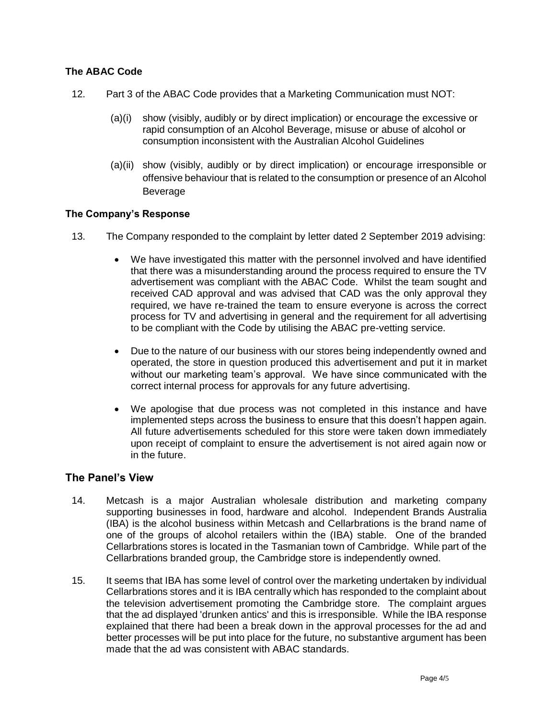## **The ABAC Code**

- 12. Part 3 of the ABAC Code provides that a Marketing Communication must NOT:
	- (a)(i) show (visibly, audibly or by direct implication) or encourage the excessive or rapid consumption of an Alcohol Beverage, misuse or abuse of alcohol or consumption inconsistent with the Australian Alcohol Guidelines
	- (a)(ii) show (visibly, audibly or by direct implication) or encourage irresponsible or offensive behaviour that is related to the consumption or presence of an Alcohol Beverage

#### **The Company's Response**

- 13. The Company responded to the complaint by letter dated 2 September 2019 advising:
	- We have investigated this matter with the personnel involved and have identified that there was a misunderstanding around the process required to ensure the TV advertisement was compliant with the ABAC Code. Whilst the team sought and received CAD approval and was advised that CAD was the only approval they required, we have re-trained the team to ensure everyone is across the correct process for TV and advertising in general and the requirement for all advertising to be compliant with the Code by utilising the ABAC pre-vetting service.
	- Due to the nature of our business with our stores being independently owned and operated, the store in question produced this advertisement and put it in market without our marketing team's approval. We have since communicated with the correct internal process for approvals for any future advertising.
	- We apologise that due process was not completed in this instance and have implemented steps across the business to ensure that this doesn't happen again. All future advertisements scheduled for this store were taken down immediately upon receipt of complaint to ensure the advertisement is not aired again now or in the future.

## **The Panel's View**

- 14. Metcash is a major Australian wholesale distribution and marketing company supporting businesses in food, hardware and alcohol. Independent Brands Australia (IBA) is the alcohol business within Metcash and Cellarbrations is the brand name of one of the groups of alcohol retailers within the (IBA) stable. One of the branded Cellarbrations stores is located in the Tasmanian town of Cambridge. While part of the Cellarbrations branded group, the Cambridge store is independently owned.
- 15. It seems that IBA has some level of control over the marketing undertaken by individual Cellarbrations stores and it is IBA centrally which has responded to the complaint about the television advertisement promoting the Cambridge store. The complaint argues that the ad displayed 'drunken antics' and this is irresponsible. While the IBA response explained that there had been a break down in the approval processes for the ad and better processes will be put into place for the future, no substantive argument has been made that the ad was consistent with ABAC standards.